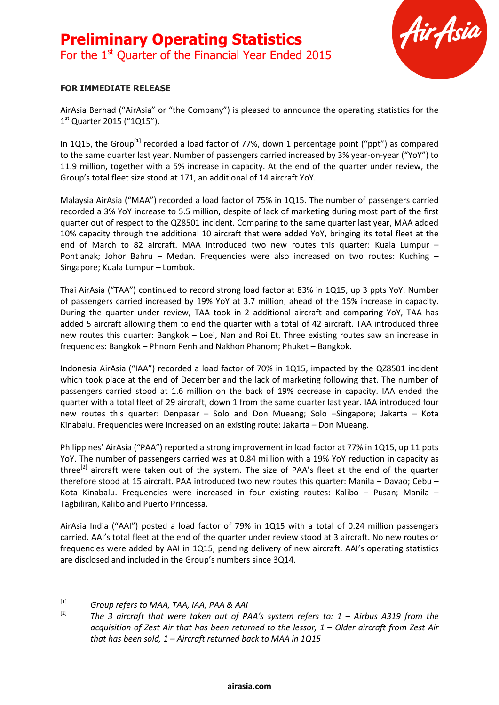# **Preliminary Operating Statistics** For the 1<sup>st</sup> Quarter of the Financial Year Ended 2015



#### **FOR IMMEDIATE RELEASE**

AirAsia Berhad ("AirAsia" or "the Company") is pleased to announce the operating statistics for the 1<sup>st</sup> Quarter 2015 ("1Q15").

In 1Q15, the Group<sup>[1]</sup> recorded a load factor of 77%, down 1 percentage point ("ppt") as compared to the same quarter last year. Number of passengers carried increased by 3% year-on-year ("YoY") to 11.9 million, together with a 5% increase in capacity. At the end of the quarter under review, the Group's total fleet size stood at 171, an additional of 14 aircraft YoY.

Malaysia AirAsia ("MAA") recorded a load factor of 75% in 1Q15. The number of passengers carried recorded a 3% YoY increase to 5.5 million, despite of lack of marketing during most part of the first quarter out of respect to the QZ8501 incident. Comparing to the same quarter last year, MAA added 10% capacity through the additional 10 aircraft that were added YoY, bringing its total fleet at the end of March to 82 aircraft. MAA introduced two new routes this quarter: Kuala Lumpur -Pontianak; Johor Bahru – Medan. Frequencies were also increased on two routes: Kuching – Singapore; Kuala Lumpur – Lombok.

Thai AirAsia ("TAA") continued to record strong load factor at 83% in 1Q15, up 3 ppts YoY. Number of passengers carried increased by 19% YoY at 3.7 million, ahead of the 15% increase in capacity. During the quarter under review, TAA took in 2 additional aircraft and comparing YoY, TAA has added 5 aircraft allowing them to end the quarter with a total of 42 aircraft. TAA introduced three new routes this quarter: Bangkok – Loei, Nan and Roi Et. Three existing routes saw an increase in frequencies: Bangkok – Phnom Penh and Nakhon Phanom; Phuket – Bangkok.

Indonesia AirAsia ("IAA") recorded a load factor of 70% in 1Q15, impacted by the QZ8501 incident which took place at the end of December and the lack of marketing following that. The number of passengers carried stood at 1.6 million on the back of 19% decrease in capacity. IAA ended the quarter with a total fleet of 29 aircraft, down 1 from the same quarter last year. IAA introduced four new routes this quarter: Denpasar – Solo and Don Mueang; Solo –Singapore; Jakarta – Kota Kinabalu. Frequencies were increased on an existing route: Jakarta – Don Mueang.

Philippines' AirAsia ("PAA") reported a strong improvement in load factor at 77% in 1Q15, up 11 ppts YoY. The number of passengers carried was at 0.84 million with a 19% YoY reduction in capacity as three<sup>[2]</sup> aircraft were taken out of the system. The size of PAA's fleet at the end of the quarter therefore stood at 15 aircraft. PAA introduced two new routes this quarter: Manila – Davao; Cebu – Kota Kinabalu. Frequencies were increased in four existing routes: Kalibo – Pusan; Manila – Tagbiliran, Kalibo and Puerto Princessa.

AirAsia India ("AAI") posted a load factor of 79% in 1Q15 with a total of 0.24 million passengers carried. AAI's total fleet at the end of the quarter under review stood at 3 aircraft. No new routes or frequencies were added by AAI in 1Q15, pending delivery of new aircraft. AAI's operating statistics are disclosed and included in the Group's numbers since 3Q14.

# [1] *Group refers to MAA, TAA, IAA, PAA & AAI*

[2] *The 3 aircraft that were taken out of PAA's system refers to: 1 – Airbus A319 from the acquisition of Zest Air that has been returned to the lessor, 1 – Older aircraft from Zest Air that has been sold, 1 – Aircraft returned back to MAA in 1Q15*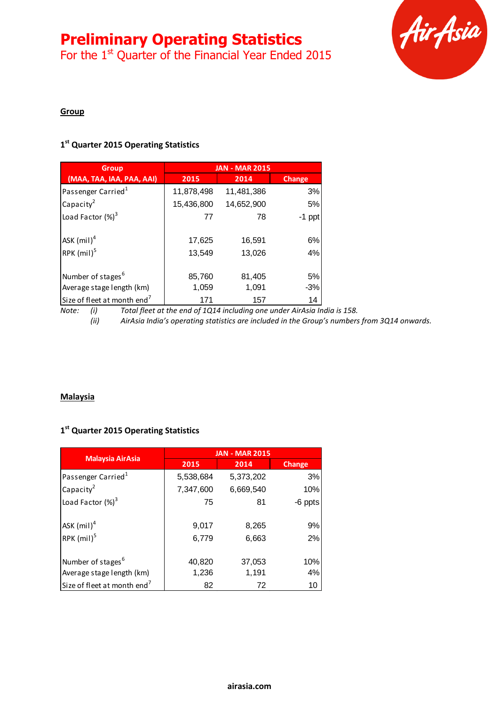# **Preliminary Operating Statistics**

For the  $1<sup>st</sup>$  Quarter of the Financial Year Ended 2015



#### **Group**

# **1 st Quarter 2015 Operating Statistics**

| <b>Group</b>                                               | <b>JAN - MAR 2015</b> |                  |             |
|------------------------------------------------------------|-----------------------|------------------|-------------|
| (MAA, TAA, IAA, PAA, AAI)                                  | 2015                  | 2014             | Change      |
| Passenger Carried <sup>1</sup>                             | 11,878,498            | 11,481,386       | 3%          |
| Capacity <sup>2</sup>                                      | 15,436,800            | 14,652,900       | 5%          |
| Load Factor $(\%)^3$                                       | 77                    | 78               | $-1$ ppt    |
| ASK (mil) <sup>4</sup><br>RPK (mil) <sup>5</sup>           | 17,625<br>13,549      | 16,591<br>13,026 | 6%<br>4%    |
| Number of stages <sup>6</sup><br>Average stage length (km) | 85,760<br>1,059       | 81,405<br>1,091  | 5%<br>$-3%$ |
| Size of fleet at month end <sup>7</sup>                    | 171                   | 157              | 14          |

*Note: (i) Total fleet at the end of 1Q14 including one under AirAsia India is 158. (ii) AirAsia India's operating statistics are included in the Group's numbers from 3Q14 onwards.*

#### **Malaysia**

### **1 st Quarter 2015 Operating Statistics**

| <b>Malaysia AirAsia</b>                 | <b>JAN - MAR 2015</b> |                |          |
|-----------------------------------------|-----------------------|----------------|----------|
|                                         | 2015                  | 2014           | Change   |
| Passenger Carried <sup>1</sup>          | 5,538,684             | 5,373,202      | 3%       |
| Capacity $^2$                           | 7,347,600             | 6,669,540      | 10%      |
| Load Factor $(\%)^3$                    | 75                    | 81             | -6 ppts  |
| ASK $(mil)^4$<br>RPK (mil) <sup>5</sup> | 9,017<br>6,779        | 8,265<br>6,663 | 9%<br>2% |
| Number of stages <sup>6</sup>           | 40,820                | 37,053         | 10%      |
| Average stage length (km)               | 1,236                 | 1,191          | 4%       |
| Size of fleet at month end <sup>7</sup> | 82                    | 72             | 10       |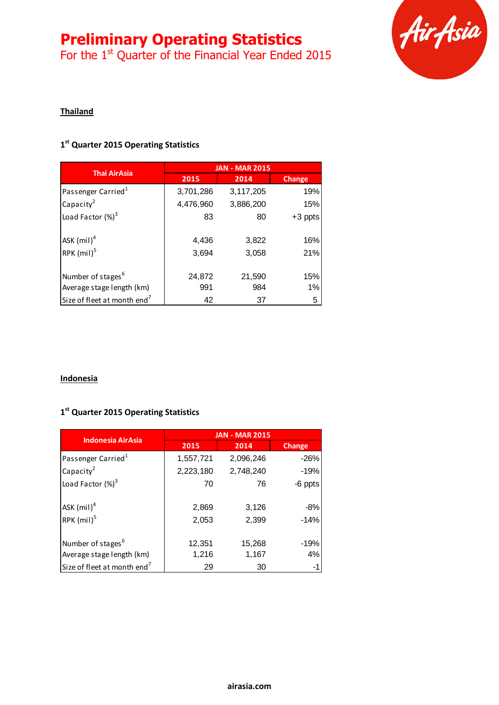# **Preliminary Operating Statistics**

For the  $1<sup>st</sup>$  Quarter of the Financial Year Ended 2015



## **Thailand**

# **1 st Quarter 2015 Operating Statistics**

| <b>Thai AirAsia</b>                     | <b>JAN - MAR 2015</b> |           |           |
|-----------------------------------------|-----------------------|-----------|-----------|
|                                         | 2015                  | 2014      | Change    |
| Passenger Carried <sup>1</sup>          | 3,701,286             | 3,117,205 | 19%       |
| Capacity <sup>2</sup>                   | 4,476,960             | 3,886,200 | 15%       |
| Load Factor $(\%)^3$                    | 83                    | 80        | $+3$ ppts |
| $ASK$ (mil) <sup>4</sup>                | 4,436                 | 3,822     | 16%       |
| RPK $(mil)^5$                           | 3,694                 | 3,058     | 21%       |
| Number of stages <sup>6</sup>           | 24,872                | 21,590    | 15%       |
| Average stage length (km)               | 991                   | 984       | 1%        |
| Size of fleet at month end <sup>7</sup> | 42                    | 37        | 5         |

#### **Indonesia**

## **1 st Quarter 2015 Operating Statistics**

| <b>Indonesia AirAsia</b>                                   | <b>JAN - MAR 2015</b> |                 |                 |
|------------------------------------------------------------|-----------------------|-----------------|-----------------|
|                                                            | 2015                  | 2014            | Change          |
| Passenger Carried <sup>1</sup>                             | 1,557,721             | 2,096,246       | $-26%$          |
| Capacity <sup>2</sup>                                      | 2,223,180             | 2,748,240       | $-19%$          |
| Load Factor $(\%)^3$                                       | 70                    | 76              | -6 ppts         |
| ASK (mil) <sup>4</sup><br>RPK (mil) <sup>5</sup>           | 2,869<br>2,053        | 3,126<br>2,399  | $-8%$<br>$-14%$ |
| Number of stages <sup>6</sup><br>Average stage length (km) | 12,351<br>1,216       | 15,268<br>1,167 | $-19%$<br>4%    |
| Size of fleet at month end <sup>7</sup>                    | 29                    | 30              | -1              |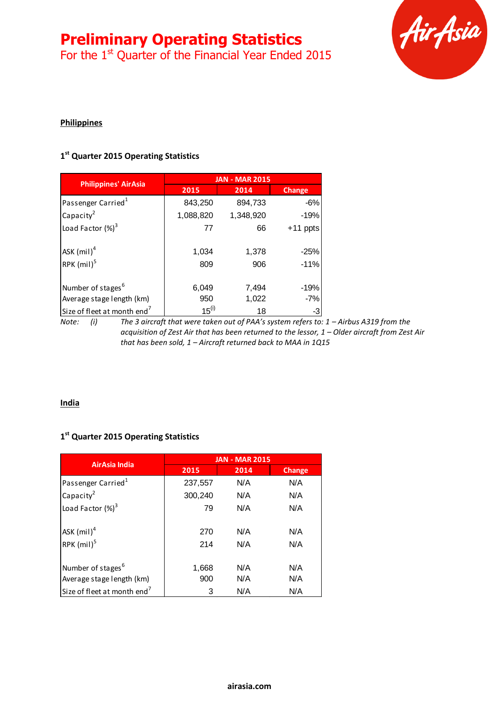# **Preliminary Operating Statistics**

For the  $1<sup>st</sup>$  Quarter of the Financial Year Ended 2015



## **Philippines**

# **1 st Quarter 2015 Operating Statistics**

|                                         | <b>JAN - MAR 2015</b> |           |            |
|-----------------------------------------|-----------------------|-----------|------------|
| <b>Philippines' AirAsia</b>             | 2015                  | 2014      | Change     |
| Passenger Carried <sup>1</sup>          | 843,250               | 894,733   | $-6%$      |
| Capacity <sup>2</sup>                   | 1,088,820             | 1,348,920 | $-19%$     |
| Load Factor $(\%)^3$                    | 77                    | 66        | $+11$ ppts |
|                                         |                       |           |            |
| ASK $(mil)^4$                           | 1,034                 | 1,378     | $-25%$     |
| RPK $(mil)^5$                           | 809                   | 906       | $-11%$     |
|                                         |                       |           |            |
| Number of stages <sup>6</sup>           | 6,049                 | 7,494     | -19%       |
| Average stage length (km)               | 950                   | 1,022     | $-7%$      |
| Size of fleet at month end <sup>7</sup> | $15^{(i)}$            | 18        | -3         |

*Note: (i) The 3 aircraft that were taken out of PAA's system refers to: 1 – Airbus A319 from the acquisition of Zest Air that has been returned to the lessor, 1 – Older aircraft from Zest Air that has been sold, 1 – Aircraft returned back to MAA in 1Q15* 

#### **India**

### **1 st Quarter 2015 Operating Statistics**

| AirAsia India                                              | <b>JAN - MAR 2015</b> |            |               |
|------------------------------------------------------------|-----------------------|------------|---------------|
|                                                            | 2015                  | 2014       | <b>Change</b> |
| Passenger Carried <sup>1</sup>                             | 237,557               | N/A        | N/A           |
| Capacity <sup>2</sup>                                      | 300,240               | N/A        | N/A           |
| Load Factor $(\%)^3$                                       | 79                    | N/A        | N/A           |
| ASK $(mil)^4$                                              | 270                   | N/A        | N/A           |
| RPK $(mil)^5$                                              | 214                   | N/A        | N/A           |
| Number of stages <sup>6</sup><br>Average stage length (km) | 1,668<br>900          | N/A<br>N/A | N/A<br>N/A    |
| Size of fleet at month end <sup>7</sup>                    | 3                     | N/A        | N/A           |